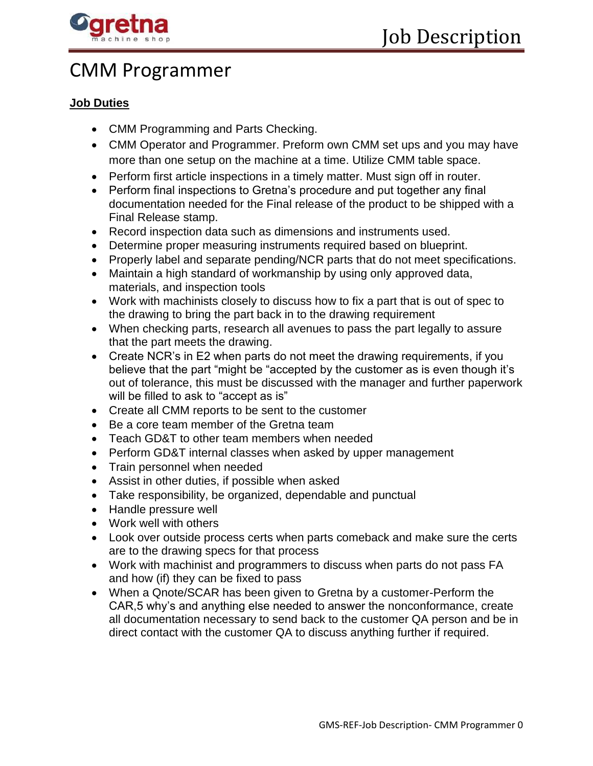

## CMM Programmer

## **Job Duties**

- CMM Programming and Parts Checking.
- CMM Operator and Programmer. Preform own CMM set ups and you may have more than one setup on the machine at a time. Utilize CMM table space.
- Perform first article inspections in a timely matter. Must sign off in router.
- Perform final inspections to Gretna's procedure and put together any final documentation needed for the Final release of the product to be shipped with a Final Release stamp.
- Record inspection data such as dimensions and instruments used.
- Determine proper measuring instruments required based on blueprint.
- Properly label and separate pending/NCR parts that do not meet specifications.
- Maintain a high standard of workmanship by using only approved data, materials, and inspection tools
- Work with machinists closely to discuss how to fix a part that is out of spec to the drawing to bring the part back in to the drawing requirement
- When checking parts, research all avenues to pass the part legally to assure that the part meets the drawing.
- Create NCR's in E2 when parts do not meet the drawing requirements, if you believe that the part "might be "accepted by the customer as is even though it's out of tolerance, this must be discussed with the manager and further paperwork will be filled to ask to "accept as is"
- Create all CMM reports to be sent to the customer
- Be a core team member of the Gretna team
- Teach GD&T to other team members when needed
- Perform GD&T internal classes when asked by upper management
- Train personnel when needed
- Assist in other duties, if possible when asked
- Take responsibility, be organized, dependable and punctual
- Handle pressure well
- Work well with others
- Look over outside process certs when parts comeback and make sure the certs are to the drawing specs for that process
- Work with machinist and programmers to discuss when parts do not pass FA and how (if) they can be fixed to pass
- When a Qnote/SCAR has been given to Gretna by a customer-Perform the CAR,5 why's and anything else needed to answer the nonconformance, create all documentation necessary to send back to the customer QA person and be in direct contact with the customer QA to discuss anything further if required.